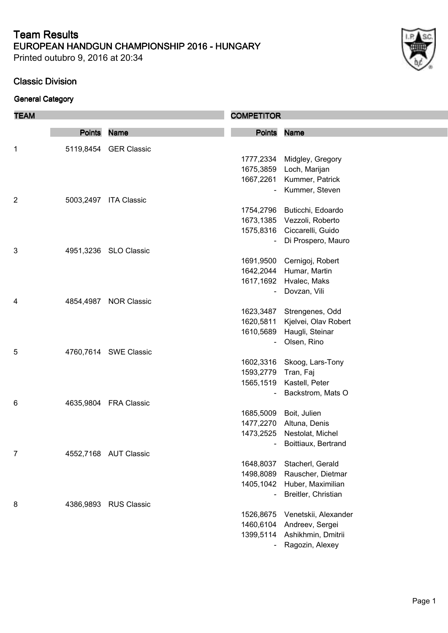Printed outubro 9, 2016 at 20:34

#### **Classic Division**

| <b>TEAM</b>    |               |                       | <b>COMPETITOR</b> |                             |
|----------------|---------------|-----------------------|-------------------|-----------------------------|
|                | <b>Points</b> | <b>Name</b>           | <b>Points</b>     | <b>Name</b>                 |
| 1              |               | 5119,8454 GER Classic |                   |                             |
|                |               |                       | 1777,2334         | Midgley, Gregory            |
|                |               |                       | 1675,3859         | Loch, Marijan               |
|                |               |                       | 1667,2261         | Kummer, Patrick             |
|                |               |                       |                   | Kummer, Steven              |
| $\overline{2}$ | 5003,2497     | <b>ITA Classic</b>    |                   |                             |
|                |               |                       | 1754,2796         | Buticchi, Edoardo           |
|                |               |                       |                   | 1673,1385 Vezzoli, Roberto  |
|                |               |                       |                   | 1575,8316 Ciccarelli, Guido |
|                |               |                       |                   | Di Prospero, Mauro          |
| 3              |               | 4951,3236 SLO Classic |                   |                             |
|                |               |                       |                   | 1691,9500 Cernigoj, Robert  |
|                |               |                       | 1642,2044         | Humar, Martin               |
|                |               |                       | 1617,1692         | Hvalec, Maks                |
|                |               |                       |                   | Dovzan, Vili                |
| 4              | 4854,4987     | <b>NOR Classic</b>    |                   |                             |
|                |               |                       | 1623,3487         | Strengenes, Odd             |
|                |               |                       | 1620,5811         | Kjelvei, Olav Robert        |
|                |               |                       | 1610,5689         | Haugli, Steinar             |
|                |               |                       |                   | Olsen, Rino                 |
| 5              |               | 4760,7614 SWE Classic |                   |                             |
|                |               |                       | 1602,3316         | Skoog, Lars-Tony            |
|                |               |                       | 1593,2779         | Tran, Faj                   |
|                |               |                       | 1565,1519         | Kastell, Peter              |
|                |               |                       |                   | Backstrom, Mats O           |
| 6              |               | 4635,9804 FRA Classic |                   |                             |
|                |               |                       | 1685,5009         | Boit, Julien                |
|                |               |                       |                   | 1477,2270 Altuna, Denis     |
|                |               |                       |                   | 1473,2525 Nestolat, Michel  |
|                |               |                       |                   | Boittiaux, Bertrand         |
| 7              |               | 4552,7168 AUT Classic |                   |                             |
|                |               |                       | 1648,8037         | Stacherl, Gerald            |
|                |               |                       | 1498,8089         | Rauscher, Dietmar           |
|                |               |                       | 1405,1042         | Huber, Maximilian           |
|                |               |                       |                   | Breitler, Christian         |
| 8              | 4386,9893     | <b>RUS Classic</b>    |                   |                             |
|                |               |                       | 1526,8675         | Venetskii, Alexander        |
|                |               |                       | 1460,6104         | Andreev, Sergei             |
|                |               |                       | 1399,5114         | Ashikhmin, Dmitrii          |
|                |               |                       |                   | Ragozin, Alexey             |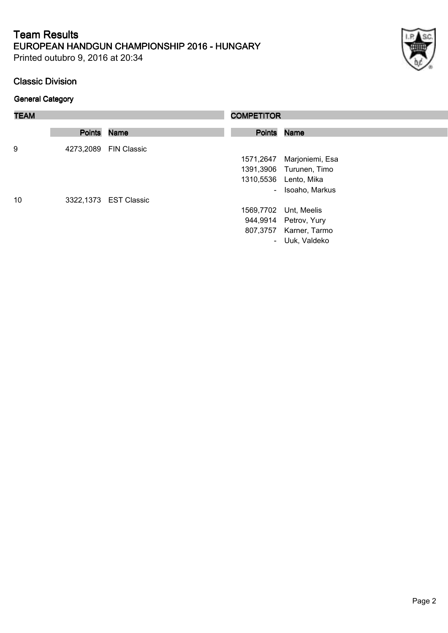Printed outubro 9, 2016 at 20:34

#### **Classic Division**

| ł |  |
|---|--|

| <b>TEAM</b> |             |                       | <b>COMPETITOR</b> |                         |
|-------------|-------------|-----------------------|-------------------|-------------------------|
|             | Points Name |                       | Points Name       |                         |
| 9           |             | 4273,2089 FIN Classic |                   |                         |
|             |             |                       | 1571,2647         | Marjoniemi, Esa         |
|             |             |                       |                   | 1391,3906 Turunen, Timo |
|             |             |                       |                   | 1310,5536 Lento, Mika   |
|             |             |                       | $\sim$            | Isoaho, Markus          |
| 10          |             | 3322,1373 EST Classic |                   |                         |
|             |             |                       | 1569,7702         | Unt, Meelis             |
|             |             |                       |                   | 944,9914 Petrov, Yury   |
|             |             |                       |                   | 807,3757 Karner, Tarmo  |
|             |             |                       |                   | - Uuk, Valdeko          |
|             |             |                       |                   |                         |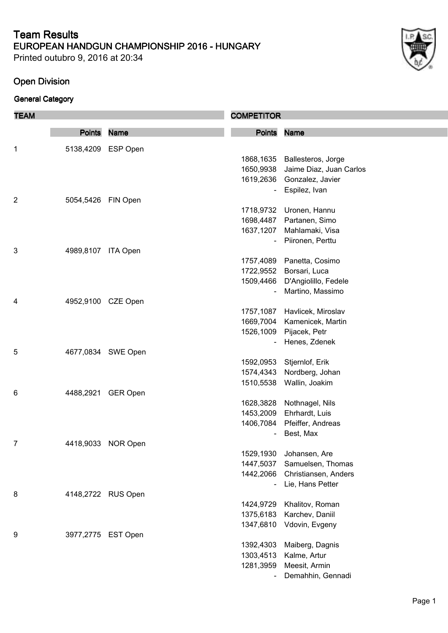Printed outubro 9, 2016 at 20:34

## **Open Division**

| <b>TEAM</b>    |                    |                    | <b>COMPETITOR</b>        |                         |
|----------------|--------------------|--------------------|--------------------------|-------------------------|
|                | <b>Points</b>      | <b>Name</b>        | <b>Points</b>            | <b>Name</b>             |
| $\mathbf 1$    |                    | 5138,4209 ESP Open |                          |                         |
|                |                    |                    | 1868,1635                | Ballesteros, Jorge      |
|                |                    |                    | 1650,9938                | Jaime Diaz, Juan Carlos |
|                |                    |                    | 1619,2636                | Gonzalez, Javier        |
|                |                    |                    | $\overline{\phantom{a}}$ | Espilez, Ivan           |
| $\overline{c}$ | 5054,5426 FIN Open |                    |                          |                         |
|                |                    |                    | 1718,9732                | Uronen, Hannu           |
|                |                    |                    | 1698,4487                | Partanen, Simo          |
|                |                    |                    | 1637,1207                | Mahlamaki, Visa         |
|                |                    |                    | $\blacksquare$           | Piironen, Perttu        |
| 3              | 4989,8107 ITA Open |                    |                          |                         |
|                |                    |                    | 1757,4089                | Panetta, Cosimo         |
|                |                    |                    | 1722,9552                | Borsari, Luca           |
|                |                    |                    | 1509,4466                | D'Angiolillo, Fedele    |
|                |                    |                    | $\blacksquare$           | Martino, Massimo        |
| 4              | 4952,9100 CZE Open |                    |                          |                         |
|                |                    |                    | 1757,1087                | Havlicek, Miroslav      |
|                |                    |                    | 1669,7004                | Kamenicek, Martin       |
|                |                    |                    | 1526,1009                | Pijacek, Petr           |
|                |                    |                    |                          | Henes, Zdenek           |
| 5              |                    | 4677,0834 SWE Open |                          |                         |
|                |                    |                    | 1592,0953                | Stjernlof, Erik         |
|                |                    |                    | 1574,4343                | Nordberg, Johan         |
|                |                    |                    | 1510,5538                | Wallin, Joakim          |
| 6              | 4488,2921          | <b>GER Open</b>    |                          |                         |
|                |                    |                    | 1628,3828                | Nothnagel, Nils         |
|                |                    |                    | 1453,2009                | Ehrhardt, Luis          |
|                |                    |                    | 1406,7084                | Pfeiffer, Andreas       |
|                |                    |                    |                          | Best, Max               |
| 7              |                    | 4418,9033 NOR Open |                          |                         |
|                |                    |                    | 1529,1930                | Johansen, Are           |
|                |                    |                    | 1447,5037                | Samuelsen, Thomas       |
|                |                    |                    | 1442,2066                | Christiansen, Anders    |
|                |                    |                    | $\overline{\phantom{0}}$ | Lie, Hans Petter        |
| 8              |                    | 4148,2722 RUS Open |                          |                         |
|                |                    |                    | 1424,9729                | Khalitov, Roman         |
|                |                    |                    | 1375,6183                | Karchev, Daniil         |
|                |                    |                    | 1347,6810                | Vdovin, Evgeny          |
| 9              | 3977,2775 EST Open |                    |                          |                         |
|                |                    |                    | 1392,4303                | Maiberg, Dagnis         |
|                |                    |                    | 1303,4513                | Kalme, Artur            |
|                |                    |                    | 1281,3959                | Meesit, Armin           |
|                |                    |                    |                          | Demahhin, Gennadi       |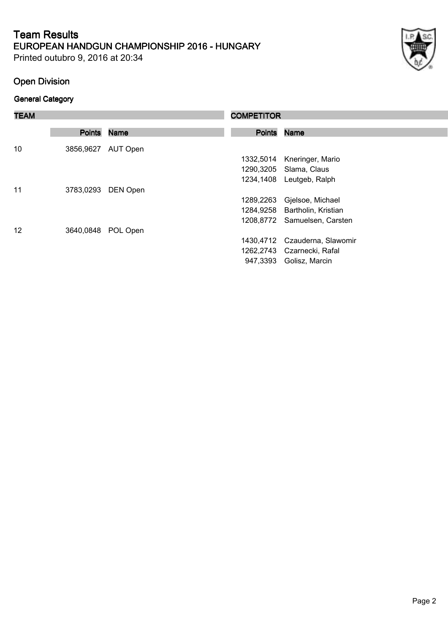Printed outubro 9, 2016 at 20:34

## **Open Division**

| <b>TEAM</b> |                    |             | <b>COMPETITOR</b> |                               |
|-------------|--------------------|-------------|-------------------|-------------------------------|
|             |                    |             |                   |                               |
|             | <b>Points</b>      | <b>Name</b> | <b>Points</b>     | <b>Name</b>                   |
| 10          | 3856,9627 AUT Open |             |                   |                               |
|             |                    |             | 1332,5014         | Kneringer, Mario              |
|             |                    |             |                   | 1290,3205 Slama, Claus        |
|             |                    |             |                   | 1234,1408 Leutgeb, Ralph      |
| 11          | 3783,0293          | DEN Open    |                   |                               |
|             |                    |             | 1289,2263         | Gjelsoe, Michael              |
|             |                    |             |                   | 1284,9258 Bartholin, Kristian |
|             |                    |             |                   | 1208,8772 Samuelsen, Carsten  |
| 12          | 3640,0848          | POL Open    |                   |                               |
|             |                    |             | 1430.4712         | Czauderna, Slawomir           |
|             |                    |             |                   | 1262,2743 Czarnecki, Rafal    |
|             |                    |             | 947,3393          | Golisz, Marcin                |
|             |                    |             |                   |                               |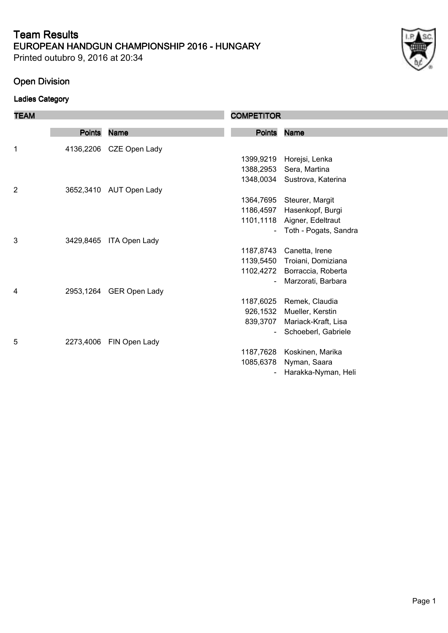Printed outubro 9, 2016 at 20:34

## **Open Division**

## **Ladies Category**

| <b>TEAM</b>    |               |                         | <b>COMPETITOR</b> |                       |
|----------------|---------------|-------------------------|-------------------|-----------------------|
|                | <b>Points</b> | <b>Name</b>             | <b>Points</b>     | <b>Name</b>           |
|                |               |                         |                   |                       |
| 1              |               | 4136,2206 CZE Open Lady |                   |                       |
|                |               |                         | 1399,9219         | Horejsi, Lenka        |
|                |               |                         | 1388,2953         | Sera, Martina         |
|                |               |                         | 1348,0034         | Sustrova, Katerina    |
| $\overline{c}$ | 3652,3410     | AUT Open Lady           |                   |                       |
|                |               |                         | 1364,7695         | Steurer, Margit       |
|                |               |                         | 1186,4597         | Hasenkopf, Burgi      |
|                |               |                         | 1101,1118         | Aigner, Edeltraut     |
|                |               |                         |                   | Toth - Pogats, Sandra |
| 3              | 3429,8465     | <b>ITA Open Lady</b>    |                   |                       |
|                |               |                         | 1187,8743         | Canetta, Irene        |
|                |               |                         | 1139,5450         | Troiani, Domiziana    |
|                |               |                         | 1102,4272         | Borraccia, Roberta    |
|                |               |                         |                   | Marzorati, Barbara    |
| 4              | 2953,1264     | <b>GER Open Lady</b>    |                   |                       |
|                |               |                         | 1187,6025         | Remek, Claudia        |
|                |               |                         | 926,1532          | Mueller, Kerstin      |
|                |               |                         | 839,3707          | Mariack-Kraft, Lisa   |
|                |               |                         |                   | Schoeberl, Gabriele   |
| 5              | 2273,4006     | FIN Open Lady           |                   |                       |
|                |               |                         | 1187,7628         | Koskinen, Marika      |
|                |               |                         | 1085,6378         | Nyman, Saara          |
|                |               |                         |                   | Harakka-Nyman, Heli   |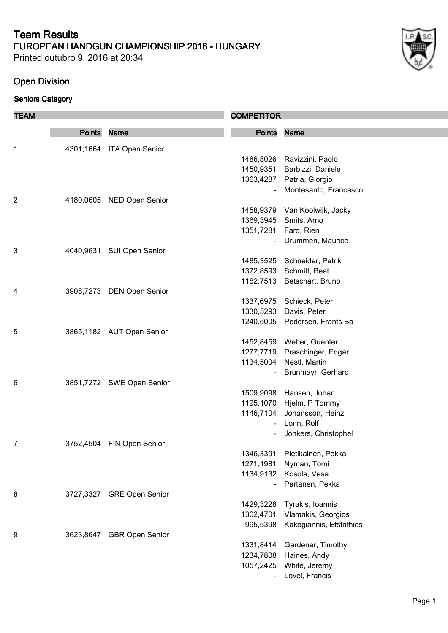Printed outubro 9, 2016 at 20:34

## **Open Division**

| <b>TEAM</b>    |               |                           | <b>COMPETITOR</b> |                               |
|----------------|---------------|---------------------------|-------------------|-------------------------------|
|                | <b>Points</b> | <b>Name</b>               | <b>Points</b>     | <b>Name</b>                   |
| 1              | 4301,1664     | <b>ITA Open Senior</b>    |                   |                               |
|                |               |                           | 1486,8026         | Ravizzini, Paolo              |
|                |               |                           | 1450,9351         | Barbizzi, Daniele             |
|                |               |                           | 1363,4287         | Patria, Giorgio               |
|                |               |                           |                   | Montesanto, Francesco         |
| $\overline{2}$ | 4180,0605     | <b>NED Open Senior</b>    |                   |                               |
|                |               |                           |                   | 1458,9379 Van Koolwijk, Jacky |
|                |               |                           | 1369,3945         | Smits, Arno                   |
|                |               |                           | 1351,7281         | Faro, Rien                    |
|                |               |                           |                   | Drummen, Maurice              |
| 3              |               | 4040,9631 SUI Open Senior |                   |                               |
|                |               |                           | 1485,3525         | Schneider, Patrik             |
|                |               |                           | 1372,8593         | Schmitt, Beat                 |
|                |               |                           | 1182,7513         | Betschart, Bruno              |
| 4              |               | 3908,7273 DEN Open Senior |                   |                               |
|                |               |                           | 1337,6975         | Schieck, Peter                |
|                |               |                           | 1330,5293         | Davis, Peter                  |
|                |               |                           | 1240,5005         | Pedersen, Frants Bo           |
| 5              |               | 3865,1182 AUT Open Senior |                   |                               |
|                |               |                           |                   | 1452,8459 Weber, Guenter      |
|                |               |                           | 1277,7719         | Praschinger, Edgar            |
|                |               |                           | 1134,5004         | Nestl, Martin                 |
|                |               |                           |                   | Brunmayr, Gerhard             |
| 6              |               | 3851,7272 SWE Open Senior |                   |                               |
|                |               |                           | 1509,9098         | Hansen, Johan                 |
|                |               |                           | 1195,1070         | Hjelm, P Tommy                |
|                |               |                           | 1146,7104         | Johansson, Heinz              |
|                |               |                           |                   | Lonn, Rolf                    |
|                |               |                           |                   | Jonkers, Christophel          |
| 7              |               | 3752,4504 FIN Open Senior |                   |                               |
|                |               |                           | 1346,3391         | Pietikainen, Pekka            |
|                |               |                           | 1271,1981         | Nyman, Tomi                   |
|                |               |                           | 1134,9132         | Kosola, Vesa                  |
|                |               |                           |                   | Partanen, Pekka               |
| 8              |               | 3727,3327 GRE Open Senior |                   |                               |
|                |               |                           | 1429,3228         | Tyrakis, Ioannis              |
|                |               |                           | 1302,4701         | Vlamakis, Georgios            |
|                |               |                           | 995,5398          | Kakogiannis, Efstathios       |
| 9              |               | 3623,8647 GBR Open Senior |                   |                               |
|                |               |                           | 1331,8414         | Gardener, Timothy             |
|                |               |                           | 1234,7808         | Haines, Andy                  |
|                |               |                           | 1057,2425         | White, Jeremy                 |
|                |               |                           |                   | Lovel, Francis                |
|                |               |                           |                   |                               |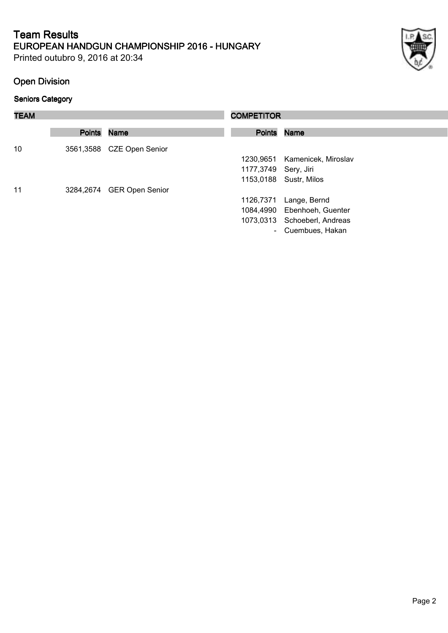Printed outubro 9, 2016 at 20:34

## **Open Division**

| <b>TEAM</b> |             | <b>COMPETITOR</b>         |                      |                               |
|-------------|-------------|---------------------------|----------------------|-------------------------------|
|             | Points Name |                           |                      | Points Name                   |
| 10          |             | 3561,3588 CZE Open Senior |                      |                               |
|             |             |                           |                      | 1230,9651 Kamenicek, Miroslav |
|             |             |                           | 1177,3749 Sery, Jiri |                               |
|             |             |                           |                      | 1153,0188 Sustr, Milos        |
| 11          |             | 3284,2674 GER Open Senior |                      |                               |
|             |             |                           | 1126,7371            | Lange, Bernd                  |
|             |             |                           |                      | 1084,4990 Ebenhoeh, Guenter   |
|             |             |                           |                      | 1073,0313 Schoeberl, Andreas  |
|             |             |                           | $\sim$               | Cuembues, Hakan               |
|             |             |                           |                      |                               |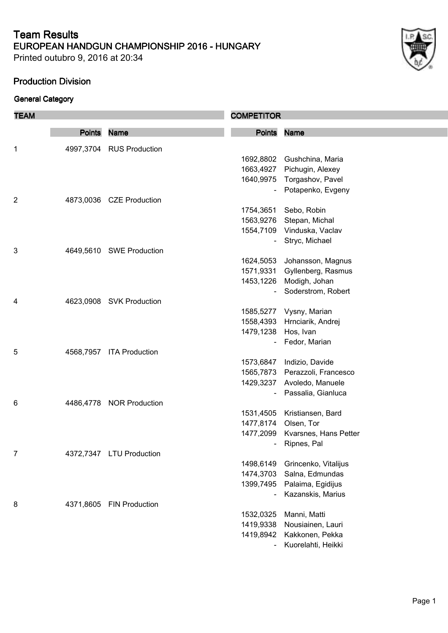Printed outubro 9, 2016 at 20:34

## **Production Division**

| <b>TEAM</b> |               |                          | <b>COMPETITOR</b>      |                                              |
|-------------|---------------|--------------------------|------------------------|----------------------------------------------|
|             | <b>Points</b> | <b>Name</b>              | <b>Points</b>          | <b>Name</b>                                  |
|             |               |                          |                        |                                              |
| 1           |               | 4997,3704 RUS Production |                        |                                              |
|             |               |                          |                        | 1692,8802 Gushchina, Maria                   |
|             |               |                          | 1663,4927              | Pichugin, Alexey                             |
|             |               |                          |                        | 1640,9975 Torgashov, Pavel                   |
|             |               |                          |                        | Potapenko, Evgeny                            |
| 2           |               | 4873,0036 CZE Production |                        |                                              |
|             |               |                          | 1754,3651              | Sebo, Robin                                  |
|             |               |                          | 1563,9276              | Stepan, Michal<br>1554,7109 Vinduska, Vaclav |
|             |               |                          |                        | Stryc, Michael                               |
| 3           |               | 4649,5610 SWE Production |                        |                                              |
|             |               |                          | 1624,5053              | Johansson, Magnus                            |
|             |               |                          | 1571,9331              | Gyllenberg, Rasmus                           |
|             |               |                          | 1453,1226              | Modigh, Johan                                |
|             |               |                          |                        | Soderstrom, Robert                           |
| 4           |               | 4623,0908 SVK Production |                        |                                              |
|             |               |                          |                        | 1585,5277 Vysny, Marian                      |
|             |               |                          | 1558,4393              | Hrnciarik, Andrej                            |
|             |               |                          | 1479,1238              | Hos, Ivan                                    |
|             |               |                          |                        | Fedor, Marian                                |
| 5           | 4568,7957     | <b>ITA Production</b>    |                        |                                              |
|             |               |                          | 1573,6847              | Indizio, Davide                              |
|             |               |                          |                        | 1565,7873 Perazzoli, Francesco               |
|             |               |                          |                        | 1429,3237 Avoledo, Manuele                   |
|             |               |                          |                        | Passalia, Gianluca                           |
| 6           |               | 4486,4778 NOR Production |                        |                                              |
|             |               |                          | 1531,4505              | Kristiansen, Bard                            |
|             |               |                          | 1477,8174              | Olsen, Tor                                   |
|             |               |                          | 1477,2099              | Kvarsnes, Hans Petter                        |
|             |               |                          |                        | Ripnes, Pal                                  |
| 7           |               | 4372,7347 LTU Production |                        |                                              |
|             |               |                          | 1498,6149              | Grincenko, Vitalijus                         |
|             |               |                          | 1474,3703              | Salna, Edmundas                              |
|             |               |                          | 1399,7495              | Palaima, Egidijus                            |
|             |               |                          |                        | Kazanskis, Marius                            |
| 8           | 4371,8605     | <b>FIN Production</b>    |                        |                                              |
|             |               |                          | 1532,0325<br>1419,9338 | Manni, Matti                                 |
|             |               |                          | 1419,8942              | Nousiainen, Lauri<br>Kakkonen, Pekka         |
|             |               |                          |                        | Kuorelahti, Heikki                           |
|             |               |                          |                        |                                              |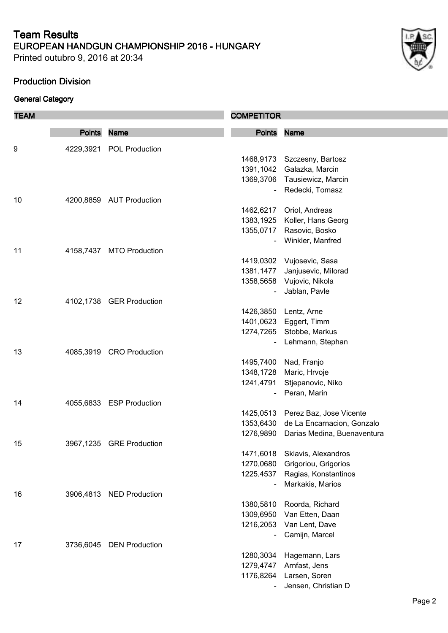Printed outubro 9, 2016 at 20:34

## **Production Division**

| <b>TEAM</b> |               |                          | <b>COMPETITOR</b> |                                                                     |
|-------------|---------------|--------------------------|-------------------|---------------------------------------------------------------------|
|             | <b>Points</b> | <b>Name</b>              | <b>Points</b>     | <b>Name</b>                                                         |
|             |               |                          |                   |                                                                     |
| 9           | 4229,3921     | POL Production           |                   | 1468,9173 Szczesny, Bartosz                                         |
|             |               |                          | 1391,1042         | Galazka, Marcin                                                     |
|             |               |                          |                   | 1369,3706 Tausiewicz, Marcin                                        |
|             |               |                          |                   | Redecki, Tomasz                                                     |
| 10          |               | 4200,8859 AUT Production |                   |                                                                     |
|             |               |                          | 1462,6217         | Oriol, Andreas                                                      |
|             |               |                          | 1383,1925         | Koller, Hans Georg                                                  |
|             |               |                          | 1355,0717         | Rasovic, Bosko                                                      |
|             |               |                          |                   | Winkler, Manfred                                                    |
| 11          | 4158,7437     | <b>MTO Production</b>    |                   |                                                                     |
|             |               |                          | 1419,0302         | Vujosevic, Sasa                                                     |
|             |               |                          | 1381,1477         | Janjusevic, Milorad                                                 |
|             |               |                          |                   | 1358,5658 Vujovic, Nikola                                           |
|             |               |                          |                   | Jablan, Pavle                                                       |
| 12          |               | 4102,1738 GER Production |                   |                                                                     |
|             |               |                          |                   | 1426,3850 Lentz, Arne                                               |
|             |               |                          | 1401,0623         |                                                                     |
|             |               |                          |                   | Eggert, Timm                                                        |
|             |               |                          | 1274,7265         | Stobbe, Markus                                                      |
| 13          |               | 4085,3919 CRO Production |                   | Lehmann, Stephan                                                    |
|             |               |                          | 1495,7400         |                                                                     |
|             |               |                          | 1348,1728         | Nad, Franjo                                                         |
|             |               |                          |                   | Maric, Hrvoje                                                       |
|             |               |                          | 1241,4791         | Stjepanovic, Niko<br>Peran, Marin                                   |
| 14          |               | 4055,6833 ESP Production |                   |                                                                     |
|             |               |                          |                   | 1425,0513 Perez Baz, Jose Vicente                                   |
|             |               |                          | 1353,6430         |                                                                     |
|             |               |                          |                   | de La Encarnacion, Gonzalo<br>1276,9890 Darias Medina, Buenaventura |
|             |               |                          |                   |                                                                     |
| 15          |               | 3967,1235 GRE Production | 1471,6018         |                                                                     |
|             |               |                          | 1270,0680         | Sklavis, Alexandros                                                 |
|             |               |                          | 1225,4537         | Grigoriou, Grigorios<br>Ragias, Konstantinos                        |
|             |               |                          |                   | Markakis, Marios                                                    |
| 16          | 3906,4813     | <b>NED Production</b>    |                   |                                                                     |
|             |               |                          | 1380,5810         |                                                                     |
|             |               |                          | 1309,6950         | Roorda, Richard<br>Van Etten, Daan                                  |
|             |               |                          | 1216,2053         |                                                                     |
|             |               |                          |                   | Van Lent, Dave<br>Camijn, Marcel                                    |
| 17          |               | <b>DEN Production</b>    |                   |                                                                     |
|             | 3736,6045     |                          | 1280,3034         | Hagemann, Lars                                                      |
|             |               |                          | 1279,4747         |                                                                     |
|             |               |                          | 1176,8264         | Arnfast, Jens<br>Larsen, Soren                                      |
|             |               |                          |                   |                                                                     |
|             |               |                          |                   | Jensen, Christian D                                                 |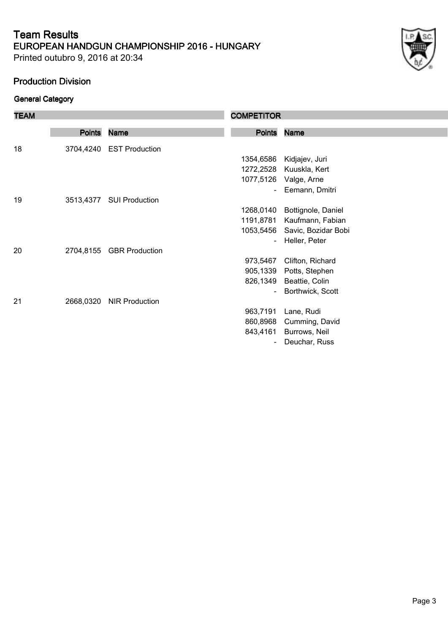Printed outubro 9, 2016 at 20:34

#### **Production Division**

| <b>TEAM</b> |               |                          | <b>COMPETITOR</b>        |                               |
|-------------|---------------|--------------------------|--------------------------|-------------------------------|
|             | <b>Points</b> | <b>Name</b>              | <b>Points</b>            | <b>Name</b>                   |
| 18          |               | 3704,4240 EST Production |                          |                               |
|             |               |                          | 1354,6586                | Kidjajev, Juri                |
|             |               |                          |                          | 1272,2528 Kuuskla, Kert       |
|             |               |                          | 1077,5126                | Valge, Arne                   |
|             |               |                          | $\overline{a}$           | Eemann, Dmitri                |
| 19          |               | 3513,4377 SUI Production |                          |                               |
|             |               |                          | 1268,0140                | Bottignole, Daniel            |
|             |               |                          |                          | 1191,8781 Kaufmann, Fabian    |
|             |               |                          |                          | 1053,5456 Savic, Bozidar Bobi |
|             |               |                          | $\blacksquare$           | Heller, Peter                 |
| 20          |               | 2704,8155 GBR Production |                          |                               |
|             |               |                          | 973,5467                 | Clifton, Richard              |
|             |               |                          |                          | 905,1339 Potts, Stephen       |
|             |               |                          |                          | 826,1349 Beattie, Colin       |
|             |               |                          | $\blacksquare$           | Borthwick, Scott              |
| 21          | 2668,0320     | <b>NIR Production</b>    |                          |                               |
|             |               |                          | 963,7191                 | Lane, Rudi                    |
|             |               |                          | 860,8968                 | Cumming, David                |
|             |               |                          |                          | 843,4161 Burrows, Neil        |
|             |               |                          | $\overline{\phantom{a}}$ | Deuchar, Russ                 |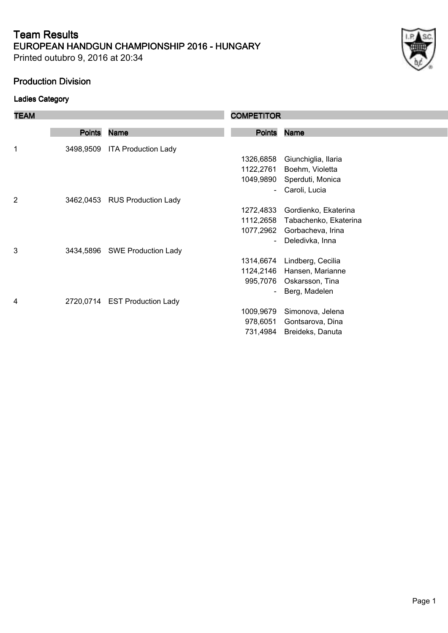Printed outubro 9, 2016 at 20:34

#### **Production Division**

## **Ladies Category**

| <b>TEAM</b>    |               |                               | <b>COMPETITOR</b> |                       |
|----------------|---------------|-------------------------------|-------------------|-----------------------|
|                |               |                               |                   |                       |
|                | <b>Points</b> | <b>Name</b>                   | <b>Points</b>     | <b>Name</b>           |
| 1              | 3498,9509     | <b>ITA Production Lady</b>    |                   |                       |
|                |               |                               | 1326,6858         | Giunchiglia, Ilaria   |
|                |               |                               | 1122,2761         | Boehm, Violetta       |
|                |               |                               | 1049,9890         | Sperduti, Monica      |
|                |               |                               |                   | Caroli, Lucia         |
| $\overline{2}$ |               | 3462,0453 RUS Production Lady |                   |                       |
|                |               |                               | 1272,4833         | Gordienko, Ekaterina  |
|                |               |                               | 1112,2658         | Tabachenko, Ekaterina |
|                |               |                               | 1077,2962         | Gorbacheva, Irina     |
|                |               |                               |                   | Deledivka, Inna       |
| 3              |               | 3434,5896 SWE Production Lady |                   |                       |
|                |               |                               | 1314,6674         | Lindberg, Cecilia     |
|                |               |                               | 1124,2146         | Hansen, Marianne      |
|                |               |                               | 995,7076          | Oskarsson, Tina       |
|                |               |                               |                   | Berg, Madelen         |
| 4              |               | 2720,0714 EST Production Lady |                   |                       |
|                |               |                               | 1009,9679         | Simonova, Jelena      |
|                |               |                               | 978,6051          | Gontsarova, Dina      |
|                |               |                               | 731,4984          | Breideks, Danuta      |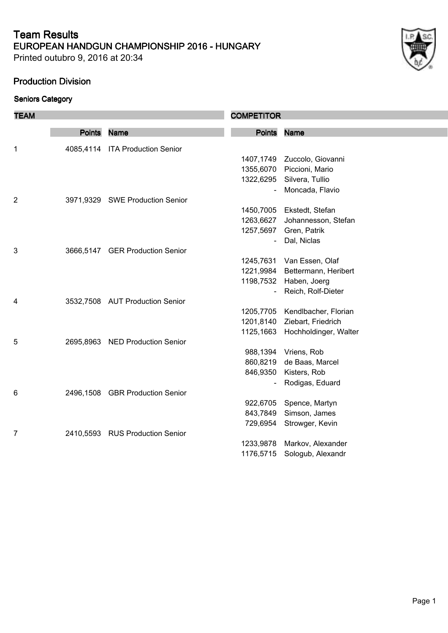Printed outubro 9, 2016 at 20:34

## **Production Division**

| × |
|---|

| <b>TEAM</b>    |               |                                 | <b>COMPETITOR</b> |                       |
|----------------|---------------|---------------------------------|-------------------|-----------------------|
|                | <b>Points</b> | <b>Name</b>                     | <b>Points</b>     | <b>Name</b>           |
|                |               |                                 |                   |                       |
| 1              |               | 4085,4114 ITA Production Senior |                   |                       |
|                |               |                                 | 1407,1749         | Zuccolo, Giovanni     |
|                |               |                                 | 1355,6070         | Piccioni, Mario       |
|                |               |                                 | 1322,6295         | Silvera, Tullio       |
|                |               |                                 |                   | Moncada, Flavio       |
| $\overline{c}$ |               | 3971,9329 SWE Production Senior |                   |                       |
|                |               |                                 | 1450,7005         | Ekstedt, Stefan       |
|                |               |                                 | 1263,6627         | Johannesson, Stefan   |
|                |               |                                 | 1257,5697         | Gren, Patrik          |
|                |               |                                 | $\blacksquare$    | Dal, Niclas           |
| 3              |               | 3666,5147 GER Production Senior |                   |                       |
|                |               |                                 | 1245,7631         | Van Essen, Olaf       |
|                |               |                                 | 1221,9984         | Bettermann, Heribert  |
|                |               |                                 | 1198,7532         | Haben, Joerg          |
|                |               |                                 |                   | Reich, Rolf-Dieter    |
| 4              |               | 3532,7508 AUT Production Senior |                   |                       |
|                |               |                                 | 1205,7705         | Kendlbacher, Florian  |
|                |               |                                 | 1201,8140         | Ziebart, Friedrich    |
|                |               |                                 | 1125,1663         | Hochholdinger, Walter |
| 5              |               | 2695,8963 NED Production Senior |                   |                       |
|                |               |                                 | 988,1394          | Vriens, Rob           |
|                |               |                                 | 860,8219          | de Baas, Marcel       |
|                |               |                                 | 846,9350          | Kisters, Rob          |
|                |               |                                 |                   | Rodigas, Eduard       |
| 6              |               | 2496,1508 GBR Production Senior |                   |                       |
|                |               |                                 | 922,6705          | Spence, Martyn        |
|                |               |                                 | 843,7849          | Simson, James         |
|                |               |                                 | 729,6954          | Strowger, Kevin       |
| 7              |               | 2410,5593 RUS Production Senior |                   |                       |
|                |               |                                 | 1233,9878         | Markov, Alexander     |
|                |               |                                 | 1176,5715         | Sologub, Alexandr     |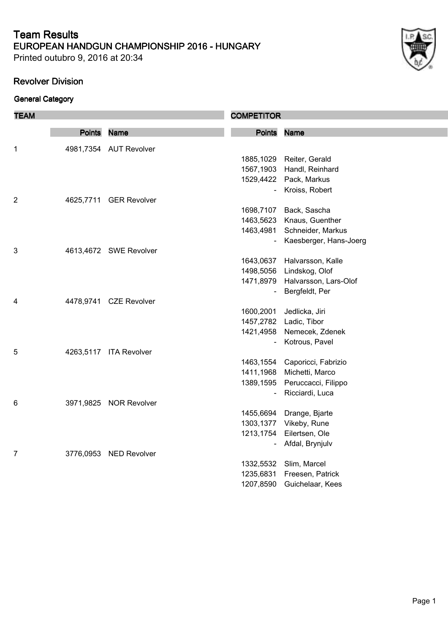Printed outubro 9, 2016 at 20:34

## **Revolver Division**

| <b>TEAM</b>    |               |                        | <b>COMPETITOR</b> |                                 |
|----------------|---------------|------------------------|-------------------|---------------------------------|
|                | <b>Points</b> | <b>Name</b>            | <b>Points</b>     | <b>Name</b>                     |
|                |               |                        |                   |                                 |
| 1              |               | 4981,7354 AUT Revolver |                   |                                 |
|                |               |                        |                   | 1885, 1029 Reiter, Gerald       |
|                |               |                        |                   | 1567,1903 Handl, Reinhard       |
|                |               |                        |                   | 1529,4422 Pack, Markus          |
|                |               |                        | $\blacksquare$    | Kroiss, Robert                  |
| $\overline{c}$ |               | 4625,7711 GER Revolver |                   |                                 |
|                |               |                        | 1698,7107         | Back, Sascha                    |
|                |               |                        | 1463,5623         | Knaus, Guenther                 |
|                |               |                        |                   | 1463,4981 Schneider, Markus     |
|                |               |                        |                   | Kaesberger, Hans-Joerg          |
| 3              |               | 4613,4672 SWE Revolver |                   |                                 |
|                |               |                        | 1643,0637         | Halvarsson, Kalle               |
|                |               |                        | 1498,5056         | Lindskog, Olof                  |
|                |               |                        |                   | 1471,8979 Halvarsson, Lars-Olof |
|                |               |                        |                   | Bergfeldt, Per                  |
| 4              |               | 4478,9741 CZE Revolver |                   |                                 |
|                |               |                        | 1600,2001         | Jedlicka, Jiri                  |
|                |               |                        | 1457,2782         | Ladic, Tibor                    |
|                |               |                        |                   | 1421,4958 Nemecek, Zdenek       |
|                |               |                        | $\blacksquare$    | Kotrous, Pavel                  |
| 5              |               | 4263,5117 ITA Revolver |                   |                                 |
|                |               |                        | 1463,1554         | Caporicci, Fabrizio             |
|                |               |                        | 1411,1968         | Michetti, Marco                 |
|                |               |                        |                   | 1389,1595 Peruccacci, Filippo   |
|                |               |                        | $\overline{a}$    | Ricciardi, Luca                 |
| 6              |               | 3971,9825 NOR Revolver |                   |                                 |
|                |               |                        | 1455,6694         | Drange, Bjarte                  |
|                |               |                        | 1303,1377         | Vikeby, Rune                    |
|                |               |                        | 1213,1754         | Eilertsen, Ole                  |
|                |               |                        |                   | Afdal, Brynjulv                 |
| 7              |               | 3776,0953 NED Revolver |                   |                                 |
|                |               |                        | 1332,5532         | Slim, Marcel                    |
|                |               |                        | 1235,6831         | Freesen, Patrick                |
|                |               |                        | 1207,8590         | Guichelaar, Kees                |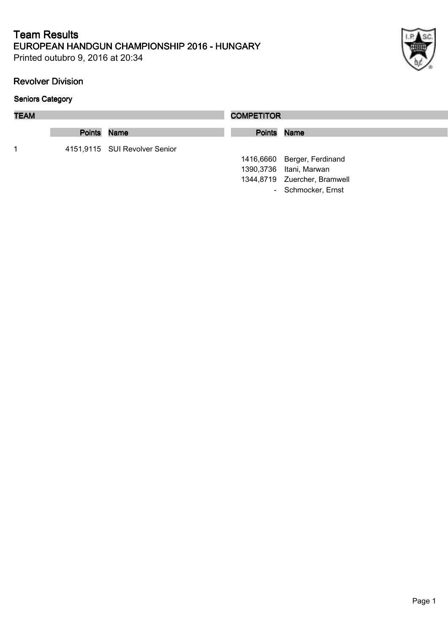Printed outubro 9, 2016 at 20:34

## **Revolver Division**

| <b>TEAM</b> |             |                               | <b>COMPETITOR</b> |                              |
|-------------|-------------|-------------------------------|-------------------|------------------------------|
|             | Points Name |                               | Points Name       |                              |
| 1           |             | 4151,9115 SUI Revolver Senior |                   |                              |
|             |             |                               |                   | 1416,6660 Berger, Ferdinand  |
|             |             |                               |                   | 1390,3736 Itani, Marwan      |
|             |             |                               |                   | 1344,8719 Zuercher, Bramwell |
|             |             |                               |                   | - Schmocker, Ernst           |
|             |             |                               |                   |                              |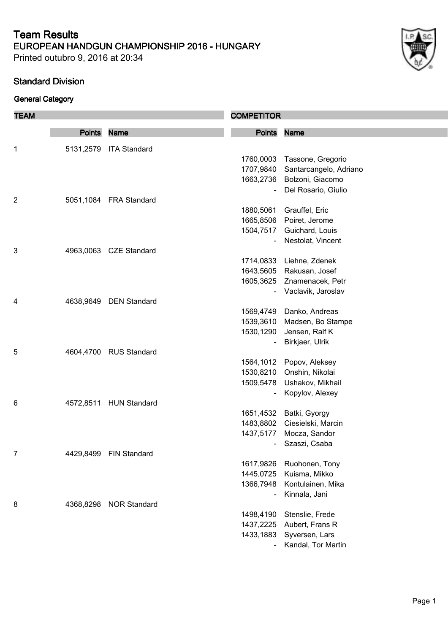Printed outubro 9, 2016 at 20:34

## **Standard Division**

| <b>TEAM</b>    |               |                        | <b>COMPETITOR</b>      |                                   |
|----------------|---------------|------------------------|------------------------|-----------------------------------|
|                | <b>Points</b> | <b>Name</b>            | <b>Points</b>          | <b>Name</b>                       |
|                |               |                        |                        |                                   |
| 1              | 5131,2579     | <b>ITA Standard</b>    |                        |                                   |
|                |               |                        | 1760,0003              | Tassone, Gregorio                 |
|                |               |                        | 1707,9840              | Santarcangelo, Adriano            |
|                |               |                        | 1663,2736              | Bolzoni, Giacomo                  |
| $\overline{2}$ |               | 5051,1084 FRA Standard |                        | Del Rosario, Giulio               |
|                |               |                        | 1880,5061              | Grauffel, Eric                    |
|                |               |                        | 1665,8506              | Poiret, Jerome                    |
|                |               |                        | 1504,7517              | Guichard, Louis                   |
|                |               |                        |                        | Nestolat, Vincent                 |
| 3              |               | 4963,0063 CZE Standard |                        |                                   |
|                |               |                        | 1714,0833              | Liehne, Zdenek                    |
|                |               |                        |                        | 1643,5605 Rakusan, Josef          |
|                |               |                        | 1605,3625              | Znamenacek, Petr                  |
|                |               |                        |                        | Vaclavik, Jaroslav                |
| 4              | 4638,9649     | <b>DEN Standard</b>    |                        |                                   |
|                |               |                        | 1569,4749              | Danko, Andreas                    |
|                |               |                        | 1539,3610              | Madsen, Bo Stampe                 |
|                |               |                        | 1530,1290              | Jensen, Ralf K                    |
|                |               |                        |                        | Birkjaer, Ulrik                   |
| 5              |               | 4604,4700 RUS Standard |                        |                                   |
|                |               |                        | 1564,1012              | Popov, Aleksey                    |
|                |               |                        | 1530,8210              | Onshin, Nikolai                   |
|                |               |                        | 1509,5478              | Ushakov, Mikhail                  |
|                |               |                        |                        | Kopylov, Alexey                   |
| 6              | 4572,8511     | <b>HUN Standard</b>    |                        |                                   |
|                |               |                        | 1651,4532              | Batki, Gyorgy                     |
|                |               |                        | 1483,8802              | Ciesielski, Marcin                |
|                |               |                        | 1437,5177              | Mocza, Sandor                     |
|                |               |                        |                        | Szaszi, Csaba                     |
| 7              | 4429,8499     | <b>FIN Standard</b>    |                        |                                   |
|                |               |                        | 1617,9826              | Ruohonen, Tony                    |
|                |               |                        | 1445,0725              | Kuisma, Mikko                     |
|                |               |                        | 1366,7948              | Kontulainen, Mika                 |
|                |               |                        |                        | Kinnala, Jani                     |
| 8              | 4368,8298     | <b>NOR Standard</b>    |                        |                                   |
|                |               |                        | 1498,4190<br>1437,2225 | Stenslie, Frede                   |
|                |               |                        | 1433,1883              | Aubert, Frans R<br>Syversen, Lars |
|                |               |                        |                        |                                   |
|                |               |                        |                        | Kandal, Tor Martin                |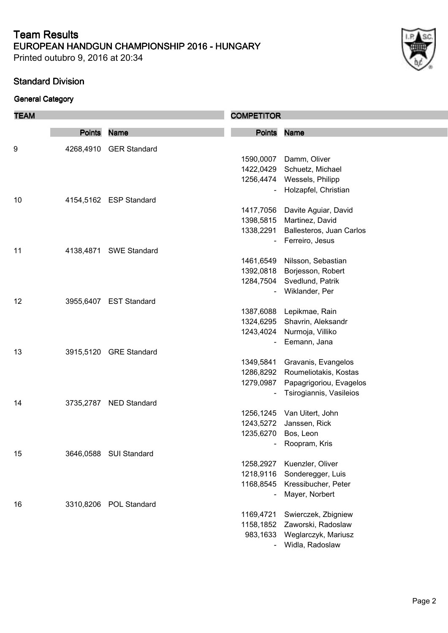Printed outubro 9, 2016 at 20:34

## **Standard Division**

| <b>TEAM</b> |               |                        | <b>COMPETITOR</b>      |                                                    |
|-------------|---------------|------------------------|------------------------|----------------------------------------------------|
|             | <b>Points</b> | <b>Name</b>            | Points Name            |                                                    |
| 9           |               | 4268,4910 GER Standard |                        |                                                    |
|             |               |                        | 1590,0007              | Damm, Oliver                                       |
|             |               |                        | 1422,0429              | Schuetz, Michael                                   |
|             |               |                        |                        | 1256,4474 Wessels, Philipp                         |
|             |               |                        |                        | Holzapfel, Christian                               |
| 10          |               | 4154,5162 ESP Standard |                        |                                                    |
|             |               |                        | 1417,7056              | Davite Aguiar, David                               |
|             |               |                        | 1398,5815              | Martinez, David                                    |
|             |               |                        | 1338,2291              | Ballesteros, Juan Carlos                           |
|             |               |                        |                        | Ferreiro, Jesus                                    |
| 11          |               | 4138,4871 SWE Standard |                        |                                                    |
|             |               |                        | 1461,6549              | Nilsson, Sebastian                                 |
|             |               |                        | 1392,0818              | Borjesson, Robert                                  |
|             |               |                        | 1284,7504              | Svedlund, Patrik                                   |
|             |               |                        |                        | Wiklander, Per                                     |
| 12          |               | 3955,6407 EST Standard |                        |                                                    |
|             |               |                        | 1387,6088              | Lepikmae, Rain                                     |
|             |               |                        | 1324,6295              | Shavrin, Aleksandr                                 |
|             |               |                        | 1243,4024              | Nurmoja, Villiko                                   |
|             |               |                        |                        | Eemann, Jana                                       |
| 13          |               | 3915,5120 GRE Standard |                        |                                                    |
|             |               |                        | 1349,5841              | Gravanis, Evangelos<br>Roumeliotakis, Kostas       |
|             |               |                        | 1286,8292<br>1279,0987 |                                                    |
|             |               |                        |                        | Papagrigoriou, Evagelos<br>Tsirogiannis, Vasileios |
| 14          |               | 3735,2787 NED Standard |                        |                                                    |
|             |               |                        |                        | 1256,1245 Van Uitert, John                         |
|             |               |                        |                        | 1243,5272 Janssen, Rick                            |
|             |               |                        | 1235,6270              | Bos, Leon                                          |
|             |               |                        |                        | Roopram, Kris                                      |
| 15          |               | 3646,0588 SUI Standard |                        |                                                    |
|             |               |                        | 1258,2927              | Kuenzler, Oliver                                   |
|             |               |                        | 1218,9116              | Sonderegger, Luis                                  |
|             |               |                        | 1168,8545              | Kressibucher, Peter                                |
|             |               |                        |                        | Mayer, Norbert                                     |
| 16          |               | 3310,8206 POL Standard |                        |                                                    |
|             |               |                        | 1169,4721              | Swierczek, Zbigniew                                |
|             |               |                        | 1158,1852              | Zaworski, Radoslaw                                 |
|             |               |                        | 983,1633               | Weglarczyk, Mariusz                                |
|             |               |                        |                        | Widla, Radoslaw                                    |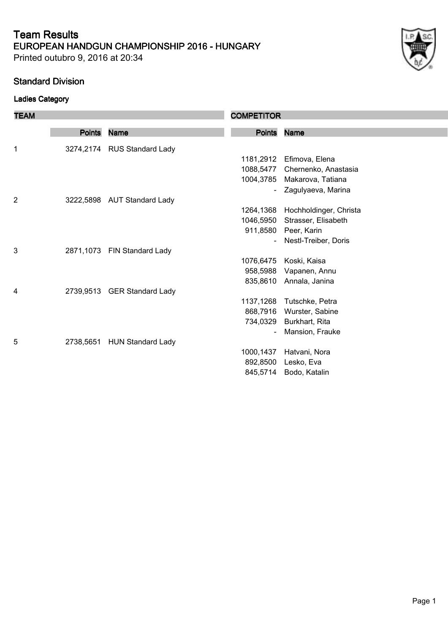Printed outubro 9, 2016 at 20:34

#### **Standard Division**

## **Ladies Category**

| <b>TEAM</b> |               |                             | <b>COMPETITOR</b> |                                |
|-------------|---------------|-----------------------------|-------------------|--------------------------------|
|             | <b>Points</b> | <b>Name</b>                 | <b>Points</b>     | <b>Name</b>                    |
| 1           |               | 3274,2174 RUS Standard Lady |                   |                                |
|             |               |                             | 1181,2912         | Efimova, Elena                 |
|             |               |                             |                   | 1088,5477 Chernenko, Anastasia |
|             |               |                             | 1004,3785         | Makarova, Tatiana              |
|             |               |                             |                   | Zagulyaeva, Marina             |
| 2           |               | 3222,5898 AUT Standard Lady |                   |                                |
|             |               |                             | 1264,1368         | Hochholdinger, Christa         |
|             |               |                             | 1046,5950         | Strasser, Elisabeth            |
|             |               |                             |                   | 911,8580 Peer, Karin           |
|             |               |                             | $\blacksquare$    | Nestl-Treiber, Doris           |
| 3           |               | 2871,1073 FIN Standard Lady |                   |                                |
|             |               |                             | 1076,6475         | Koski, Kaisa                   |
|             |               |                             | 958,5988          | Vapanen, Annu                  |
|             |               |                             | 835,8610          | Annala, Janina                 |
| 4           |               | 2739,9513 GER Standard Lady |                   |                                |
|             |               |                             | 1137,1268         | Tutschke, Petra                |
|             |               |                             | 868,7916          | Wurster, Sabine                |
|             |               |                             | 734,0329          | Burkhart, Rita                 |
|             |               |                             |                   | Mansion, Frauke                |
| 5           | 2738,5651     | <b>HUN Standard Lady</b>    |                   |                                |
|             |               |                             | 1000,1437         | Hatvani, Nora                  |
|             |               |                             | 892,8500          | Lesko, Eva                     |
|             |               |                             | 845,5714          | Bodo, Katalin                  |